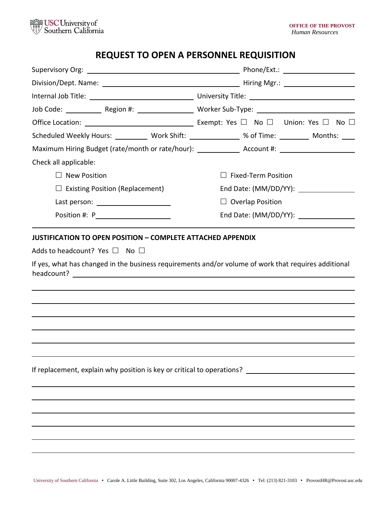

# **REQUEST TO OPEN A PERSONNEL REQUISITION**

| Job Code: _____________ Region #: _____________________ Worker Sub-Type: ___________________________ |                            |
|------------------------------------------------------------------------------------------------------|----------------------------|
|                                                                                                      |                            |
| Scheduled Weekly Hours: __________ Work Shift: _____________ % of Time: ________ Months: ____        |                            |
| Maximum Hiring Budget (rate/month or rate/hour): _______________ Account #: ________________________ |                            |
| Check all applicable:                                                                                |                            |
| $\Box$ New Position                                                                                  | $\Box$ Fixed-Term Position |
| $\Box$ Existing Position (Replacement)                                                               | End Date: (MM/DD/YY):      |
| Last person: ________________________                                                                | $\Box$ Overlap Position    |
| Position #: P_____________________                                                                   |                            |
|                                                                                                      |                            |
|                                                                                                      |                            |
|                                                                                                      |                            |
| If replacement, explain why position is key or critical to operations?                               |                            |
|                                                                                                      |                            |
|                                                                                                      |                            |
|                                                                                                      |                            |
|                                                                                                      |                            |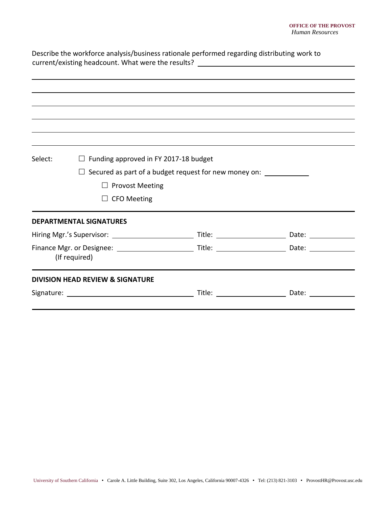| Describe the workforce analysis/business rationale performed regarding distributing work to<br>current/existing headcount. What were the results? _____________________________ |                                              |                                                                                                                          |  |
|---------------------------------------------------------------------------------------------------------------------------------------------------------------------------------|----------------------------------------------|--------------------------------------------------------------------------------------------------------------------------|--|
|                                                                                                                                                                                 |                                              |                                                                                                                          |  |
|                                                                                                                                                                                 |                                              |                                                                                                                          |  |
|                                                                                                                                                                                 |                                              |                                                                                                                          |  |
|                                                                                                                                                                                 |                                              |                                                                                                                          |  |
| Select:                                                                                                                                                                         | $\Box$ Funding approved in FY 2017-18 budget |                                                                                                                          |  |
|                                                                                                                                                                                 |                                              | $\Box$ Secured as part of a budget request for new money on: $\Box$                                                      |  |
|                                                                                                                                                                                 | <b>Provost Meeting</b>                       |                                                                                                                          |  |
|                                                                                                                                                                                 | <b>CFO Meeting</b>                           |                                                                                                                          |  |
|                                                                                                                                                                                 | <b>DEPARTMENTAL SIGNATURES</b>               |                                                                                                                          |  |
|                                                                                                                                                                                 |                                              |                                                                                                                          |  |
|                                                                                                                                                                                 | (If required)                                |                                                                                                                          |  |
|                                                                                                                                                                                 | <b>DIVISION HEAD REVIEW &amp; SIGNATURE</b>  |                                                                                                                          |  |
|                                                                                                                                                                                 |                                              | Title: $\frac{1}{\sqrt{1-\frac{1}{2}}\sqrt{1-\frac{1}{2}}\sqrt{1-\frac{1}{2}}\sqrt{1-\frac{1}{2}}\sqrt{1-\frac{1}{2}}}}$ |  |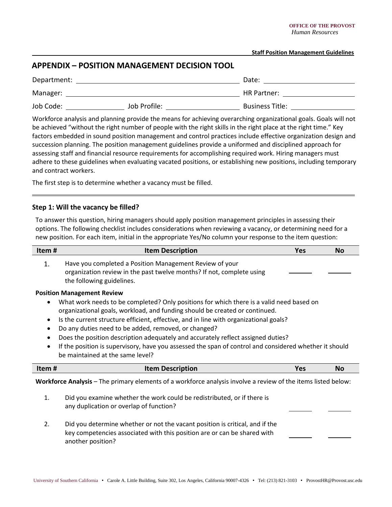### **Staff Position Management Guidelines**

# **APPENDIX – POSITION MANAGEMENT DECISION TOOL**

| Department: |              | Date:                  |
|-------------|--------------|------------------------|
| Manager:    |              | HR Partner:            |
| Job Code:   | Job Profile: | <b>Business Title:</b> |

Workforce analysis and planning provide the means for achieving overarching organizational goals. Goals will not be achieved "without the right number of people with the right skills in the right place at the right time." Key factors embedded in sound position management and control practices include effective organization design and succession planning. The position management guidelines provide a uniformed and disciplined approach for assessing staff and financial resource requirements for accomplishing required work. Hiring managers must adhere to these guidelines when evaluating vacated positions, or establishing new positions, including temporary and contract workers.

The first step is to determine whether a vacancy must be filled.

## **Step 1: Will the vacancy be filled?**

To answer this question, hiring managers should apply position management principles in assessing their options. The following checklist includes considerations when reviewing a vacancy, or determining need for a new position. For each item, initial in the appropriate Yes/No column your response to the item question:

| Item#                  | <b>Item Description</b>                                                                                                                                                                                                                                                                                                                                                                                                                                                                                                                                                                         | <b>Yes</b> | <b>No</b> |
|------------------------|-------------------------------------------------------------------------------------------------------------------------------------------------------------------------------------------------------------------------------------------------------------------------------------------------------------------------------------------------------------------------------------------------------------------------------------------------------------------------------------------------------------------------------------------------------------------------------------------------|------------|-----------|
| 1.                     | Have you completed a Position Management Review of your<br>organization review in the past twelve months? If not, complete using<br>the following guidelines.                                                                                                                                                                                                                                                                                                                                                                                                                                   |            |           |
| $\bullet$<br>$\bullet$ | <b>Position Management Review</b><br>What work needs to be completed? Only positions for which there is a valid need based on<br>organizational goals, workload, and funding should be created or continued.<br>Is the current structure efficient, effective, and in line with organizational goals?<br>Do any duties need to be added, removed, or changed?<br>Does the position description adequately and accurately reflect assigned duties?<br>If the position is supervisory, have you assessed the span of control and considered whether it should<br>be maintained at the same level? |            |           |
| Item#                  | <b>Item Description</b>                                                                                                                                                                                                                                                                                                                                                                                                                                                                                                                                                                         | <b>Yes</b> | <b>No</b> |
|                        | Workforce Analysis - The primary elements of a workforce analysis involve a review of the items listed below:                                                                                                                                                                                                                                                                                                                                                                                                                                                                                   |            |           |
| 1.                     | Did you examine whether the work could be redistributed, or if there is<br>any duplication or overlap of function?                                                                                                                                                                                                                                                                                                                                                                                                                                                                              |            |           |
| 2.                     | Did you determine whether or not the vacant position is critical, and if the<br>key competencies associated with this position are or can be shared with<br>another position?                                                                                                                                                                                                                                                                                                                                                                                                                   |            |           |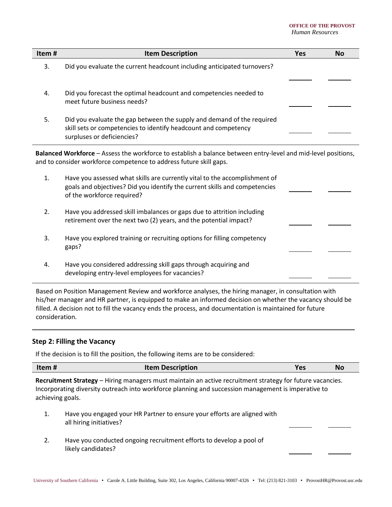#### **OFFICE OF THE PROVOST** *Human Resources*

| Item# | <b>Item Description</b>                                                                                                                                                                | Yes | <b>No</b> |
|-------|----------------------------------------------------------------------------------------------------------------------------------------------------------------------------------------|-----|-----------|
| 3.    | Did you evaluate the current headcount including anticipated turnovers?                                                                                                                |     |           |
| 4.    | Did you forecast the optimal headcount and competencies needed to<br>meet future business needs?                                                                                       |     |           |
| 5.    | Did you evaluate the gap between the supply and demand of the required<br>skill sets or competencies to identify headcount and competency<br>surpluses or deficiencies?                |     |           |
|       | Balanced Workforce - Assess the workforce to establish a balance between entry-level and mid-level positions,<br>and to consider workforce competence to address future skill gaps.    |     |           |
| 1.    | Have you assessed what skills are currently vital to the accomplishment of<br>goals and objectives? Did you identify the current skills and competencies<br>of the workforce required? |     |           |
| 2.    | Have you addressed skill imbalances or gaps due to attrition including<br>retirement over the next two (2) years, and the potential impact?                                            |     |           |
| 3.    | Have you explored training or recruiting options for filling competency<br>gaps?                                                                                                       |     |           |
| 4.    | Have you considered addressing skill gaps through acquiring and<br>developing entry-level employees for vacancies?                                                                     |     |           |

Based on Position Management Review and workforce analyses, the hiring manager, in consultation with his/her manager and HR partner, is equipped to make an informed decision on whether the vacancy should be filled. A decision not to fill the vacancy ends the process, and documentation is maintained for future consideration.

## **Step 2: Filling the Vacancy**

If the decision is to fill the position, the following items are to be considered:

| N <sub>o</sub> | Item#<br><b>Item Description</b> |  |  |
|----------------|----------------------------------|--|--|
|----------------|----------------------------------|--|--|

**Recruitment Strategy** – Hiring managers must maintain an active recruitment strategy for future vacancies. Incorporating diversity outreach into workforce planning and succession management is imperative to achieving goals.

- 1. Have you engaged your HR Partner to ensure your efforts are aligned with all hiring initiatives?
- 2. Have you conducted ongoing recruitment efforts to develop a pool of likely candidates?